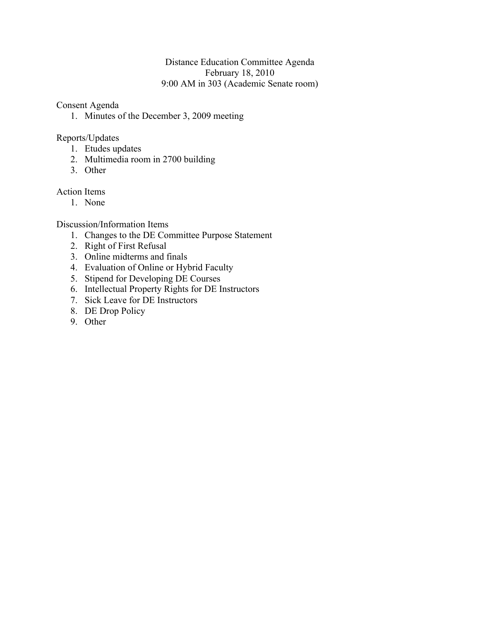# Distance Education Committee Agenda February 18, 2010 9:00 AM in 303 (Academic Senate room)

Consent Agenda

1. Minutes of the December 3, 2009 meeting

# Reports/Updates

- 1. Etudes updates
- 2. Multimedia room in 2700 building
- 3. Other

# Action Items

1. None

Discussion/Information Items

- 1. Changes to the DE Committee Purpose Statement
- 2. Right of First Refusal
- 3. Online midterms and finals
- 4. Evaluation of Online or Hybrid Faculty
- 5. Stipend for Developing DE Courses
- 6. Intellectual Property Rights for DE Instructors
- 7. Sick Leave for DE Instructors
- 8. DE Drop Policy
- 9. Other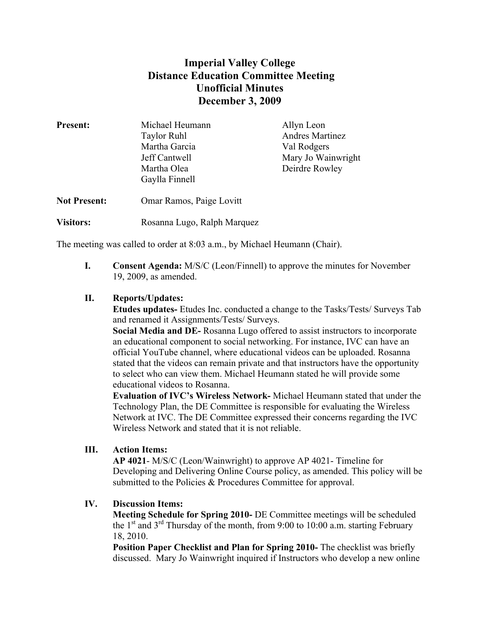# **Imperial Valley College Distance Education Committee Meeting Unofficial Minutes December 3, 2009**

| <b>Present:</b>     | Michael Heumann             | Allyn Leon         |
|---------------------|-----------------------------|--------------------|
|                     | <b>Taylor Ruhl</b>          | Andres Martinez    |
|                     | Martha Garcia               | Val Rodgers        |
|                     | Jeff Cantwell               | Mary Jo Wainwright |
|                     | Martha Olea                 | Deirdre Rowley     |
|                     | Gaylla Finnell              |                    |
| <b>Not Present:</b> | Omar Ramos, Paige Lovitt    |                    |
| <b>Visitors:</b>    | Rosanna Lugo, Ralph Marquez |                    |

The meeting was called to order at 8:03 a.m., by Michael Heumann (Chair).

**I. Consent Agenda:** M/S/C (Leon/Finnell) to approve the minutes for November 19, 2009, as amended.

# **II. Reports/Updates:**

**Etudes updates-** Etudes Inc. conducted a change to the Tasks/Tests/ Surveys Tab and renamed it Assignments/Tests/ Surveys.

**Social Media and DE-** Rosanna Lugo offered to assist instructors to incorporate an educational component to social networking. For instance, IVC can have an official YouTube channel, where educational videos can be uploaded. Rosanna stated that the videos can remain private and that instructors have the opportunity to select who can view them. Michael Heumann stated he will provide some educational videos to Rosanna.

**Evaluation of IVC's Wireless Network-** Michael Heumann stated that under the Technology Plan, the DE Committee is responsible for evaluating the Wireless Network at IVC. The DE Committee expressed their concerns regarding the IVC Wireless Network and stated that it is not reliable.

# **III. Action Items:**

**AP 4021**- M/S/C (Leon/Wainwright) to approve AP 4021- Timeline for Developing and Delivering Online Course policy, as amended. This policy will be submitted to the Policies & Procedures Committee for approval.

# **IV. Discussion Items:**

**Meeting Schedule for Spring 2010-** DE Committee meetings will be scheduled the  $1<sup>st</sup>$  and  $3<sup>rd</sup>$  Thursday of the month, from 9:00 to 10:00 a.m. starting February 18, 2010.

**Position Paper Checklist and Plan for Spring 2010-** The checklist was briefly discussed. Mary Jo Wainwright inquired if Instructors who develop a new online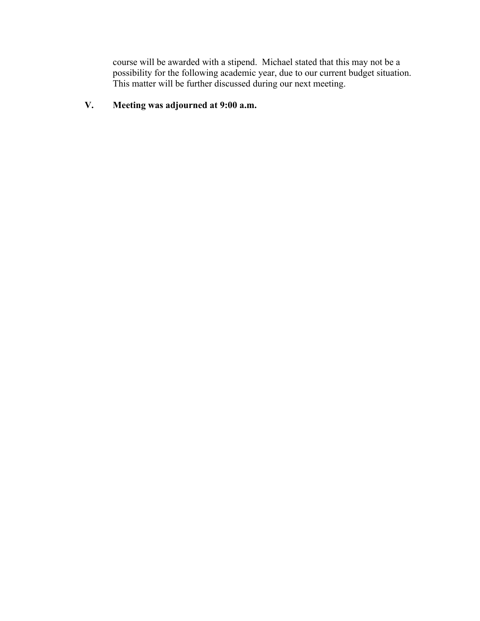course will be awarded with a stipend. Michael stated that this may not be a possibility for the following academic year, due to our current budget situation. This matter will be further discussed during our next meeting.

# **V. Meeting was adjourned at 9:00 a.m.**